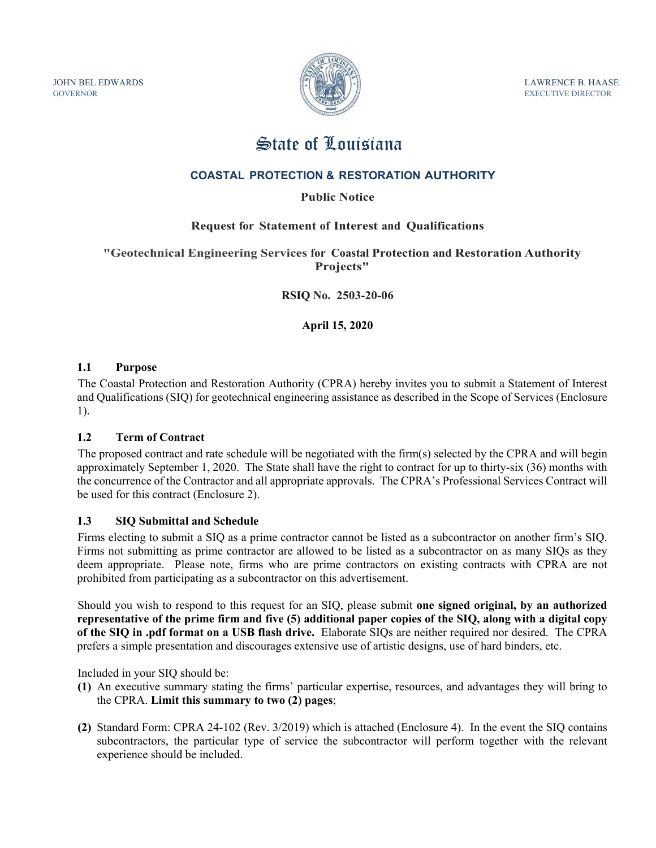GOVERNOR EXECUTIVE DIRECTOR



JOHN BEL EDWARDS FOR THE STATE OF THE SET OF THE SET OF THE LAWRENCE B. HAASE

# State of Louisiana

# **COASTAL PROTECTION & RESTORATION AUTHORITY**

# **Public Notice**

## **Request for Statement of Interest and Qualifications**

**"Geotechnical Engineering Services for Coastal Protection and Restoration Authority Projects"** 

**RSIQ No. 2503-20-06** 

**April 15, 2020** 

### **1.1 Purpose**

The Coastal Protection and Restoration Authority (CPRA) hereby invites you to submit a Statement of Interest and Qualifications (SIQ) for geotechnical engineering assistance as described in the Scope of Services (Enclosure 1).

### **1.2 Term of Contract**

The proposed contract and rate schedule will be negotiated with the firm(s) selected by the CPRA and will begin approximately September 1, 2020. The State shall have the right to contract for up to thirty-six (36) months with the concurrence of the Contractor and all appropriate approvals. The CPRA's Professional Services Contract will be used for this contract (Enclosure 2).

### **1.3 SIQ Submittal and Schedule**

Firms electing to submit a SIQ as a prime contractor cannot be listed as a subcontractor on another firm's SIQ. Firms not submitting as prime contractor are allowed to be listed as a subcontractor on as many SIQs as they deem appropriate. Please note, firms who are prime contractors on existing contracts with CPRA are not prohibited from participating as a subcontractor on this advertisement.

Should you wish to respond to this request for an SIQ, please submit **one signed original, by an authorized representative of the prime firm and five (5) additional paper copies of the SIQ, along with a digital copy of the SIQ in .pdf format on a USB flash drive.** Elaborate SIQs are neither required nor desired. The CPRA prefers a simple presentation and discourages extensive use of artistic designs, use of hard binders, etc.

Included in your SIQ should be:

- **(1)** An executive summary stating the firms' particular expertise, resources, and advantages they will bring to the CPRA. **Limit this summary to two (2) pages**;
- **(2)** Standard Form: CPRA 24-102 (Rev. 3/2019) which is attached (Enclosure 4). In the event the SIQ contains subcontractors, the particular type of service the subcontractor will perform together with the relevant experience should be included.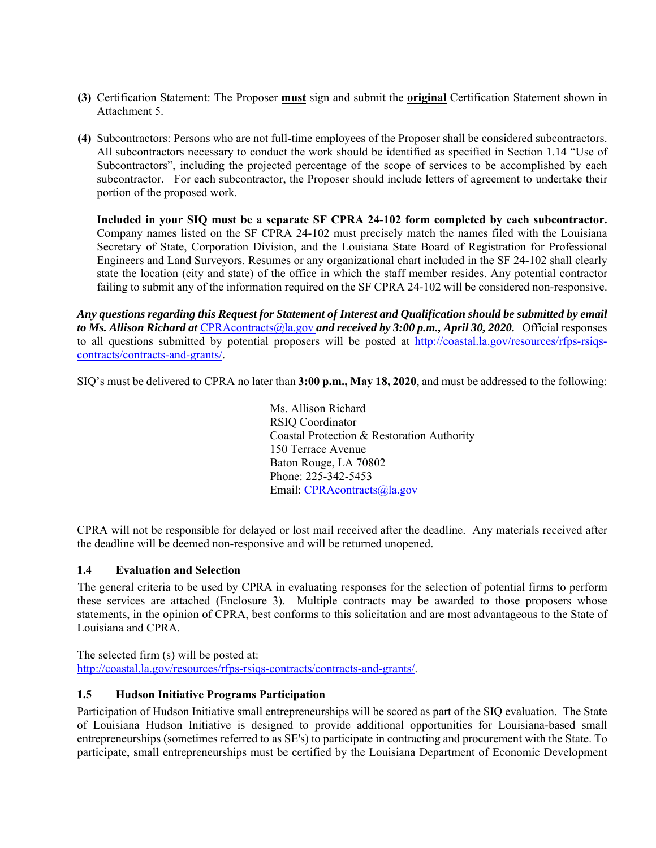- **(3)** Certification Statement: The Proposer **must** sign and submit the **original** Certification Statement shown in Attachment 5.
- **(4)** Subcontractors: Persons who are not full-time employees of the Proposer shall be considered subcontractors. All subcontractors necessary to conduct the work should be identified as specified in Section 1.14 "Use of Subcontractors", including the projected percentage of the scope of services to be accomplished by each subcontractor. For each subcontractor, the Proposer should include letters of agreement to undertake their portion of the proposed work.

**Included in your SIQ must be a separate SF CPRA 24-102 form completed by each subcontractor.**  Company names listed on the SF CPRA 24-102 must precisely match the names filed with the Louisiana Secretary of State, Corporation Division, and the Louisiana State Board of Registration for Professional Engineers and Land Surveyors. Resumes or any organizational chart included in the SF 24-102 shall clearly state the location (city and state) of the office in which the staff member resides. Any potential contractor failing to submit any of the information required on the SF CPRA 24-102 will be considered non-responsive.

*Any questions regarding this Request for Statement of Interest and Qualification should be submitted by email to Ms. Allison Richard at* CPRAcontracts@la.gov *and received by 3:00 p.m., April 30, 2020.* Official responses to all questions submitted by potential proposers will be posted at http://coastal.la.gov/resources/rfps-rsiqscontracts/contracts-and-grants/.

SIQ's must be delivered to CPRA no later than **3:00 p.m., May 18, 2020**, and must be addressed to the following:

Ms. Allison Richard RSIQ Coordinator Coastal Protection & Restoration Authority 150 Terrace Avenue Baton Rouge, LA 70802 Phone: 225-342-5453 Email: CPRAcontracts@la.gov

CPRA will not be responsible for delayed or lost mail received after the deadline. Any materials received after the deadline will be deemed non-responsive and will be returned unopened.

### **1.4 Evaluation and Selection**

The general criteria to be used by CPRA in evaluating responses for the selection of potential firms to perform these services are attached (Enclosure 3). Multiple contracts may be awarded to those proposers whose statements, in the opinion of CPRA, best conforms to this solicitation and are most advantageous to the State of Louisiana and CPRA.

The selected firm (s) will be posted at: http://coastal.la.gov/resources/rfps-rsiqs-contracts/contracts-and-grants/.

## **1.5 Hudson Initiative Programs Participation**

Participation of Hudson Initiative small entrepreneurships will be scored as part of the SIQ evaluation. The State of Louisiana Hudson Initiative is designed to provide additional opportunities for Louisiana-based small entrepreneurships (sometimes referred to as SE's) to participate in contracting and procurement with the State. To participate, small entrepreneurships must be certified by the Louisiana Department of Economic Development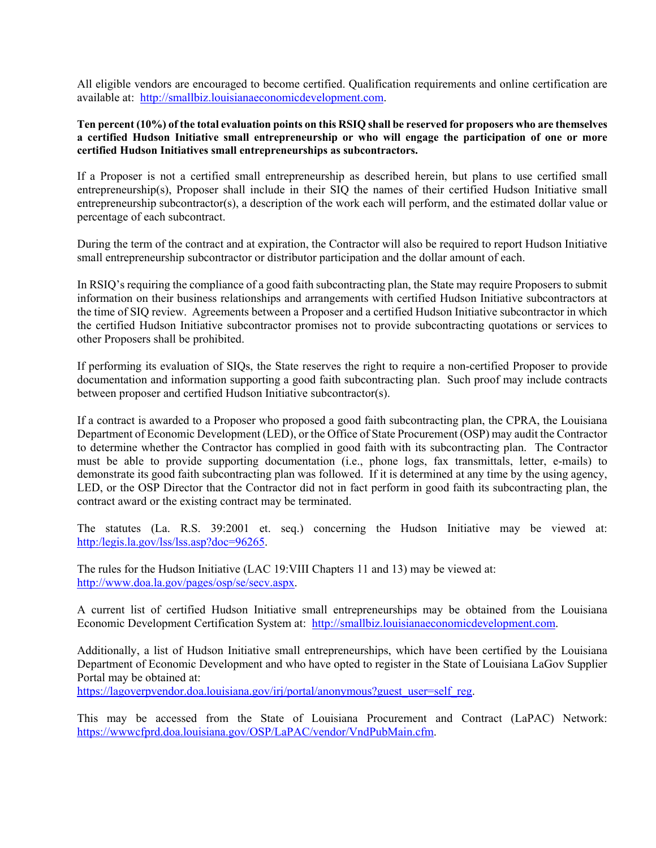All eligible vendors are encouraged to become certified. Qualification requirements and online certification are available at: http://smallbiz.louisianaeconomicdevelopment.com.

#### **Ten percent (10%) of the total evaluation points on this RSIQ shall be reserved for proposers who are themselves a certified Hudson Initiative small entrepreneurship or who will engage the participation of one or more certified Hudson Initiatives small entrepreneurships as subcontractors.**

If a Proposer is not a certified small entrepreneurship as described herein, but plans to use certified small entrepreneurship(s), Proposer shall include in their SIQ the names of their certified Hudson Initiative small entrepreneurship subcontractor(s), a description of the work each will perform, and the estimated dollar value or percentage of each subcontract.

During the term of the contract and at expiration, the Contractor will also be required to report Hudson Initiative small entrepreneurship subcontractor or distributor participation and the dollar amount of each.

In RSIQ's requiring the compliance of a good faith subcontracting plan, the State may require Proposers to submit information on their business relationships and arrangements with certified Hudson Initiative subcontractors at the time of SIQ review. Agreements between a Proposer and a certified Hudson Initiative subcontractor in which the certified Hudson Initiative subcontractor promises not to provide subcontracting quotations or services to other Proposers shall be prohibited.

If performing its evaluation of SIQs, the State reserves the right to require a non-certified Proposer to provide documentation and information supporting a good faith subcontracting plan. Such proof may include contracts between proposer and certified Hudson Initiative subcontractor(s).

If a contract is awarded to a Proposer who proposed a good faith subcontracting plan, the CPRA, the Louisiana Department of Economic Development (LED), or the Office of State Procurement (OSP) may audit the Contractor to determine whether the Contractor has complied in good faith with its subcontracting plan. The Contractor must be able to provide supporting documentation (i.e., phone logs, fax transmittals, letter, e-mails) to demonstrate its good faith subcontracting plan was followed. If it is determined at any time by the using agency, LED, or the OSP Director that the Contractor did not in fact perform in good faith its subcontracting plan, the contract award or the existing contract may be terminated.

The statutes (La. R.S. 39:2001 et. seq.) concerning the Hudson Initiative may be viewed at: http:/legis.la.gov/lss/lss.asp?doc=96265.

The rules for the Hudson Initiative (LAC 19:VIII Chapters 11 and 13) may be viewed at: http://www.doa.la.gov/pages/osp/se/secv.aspx.

A current list of certified Hudson Initiative small entrepreneurships may be obtained from the Louisiana Economic Development Certification System at: http://smallbiz.louisianaeconomicdevelopment.com.

Additionally, a list of Hudson Initiative small entrepreneurships, which have been certified by the Louisiana Department of Economic Development and who have opted to register in the State of Louisiana LaGov Supplier Portal may be obtained at:

https://lagoverpvendor.doa.louisiana.gov/irj/portal/anonymous?guest\_user=self\_reg.

This may be accessed from the State of Louisiana Procurement and Contract (LaPAC) Network: https://wwwcfprd.doa.louisiana.gov/OSP/LaPAC/vendor/VndPubMain.cfm.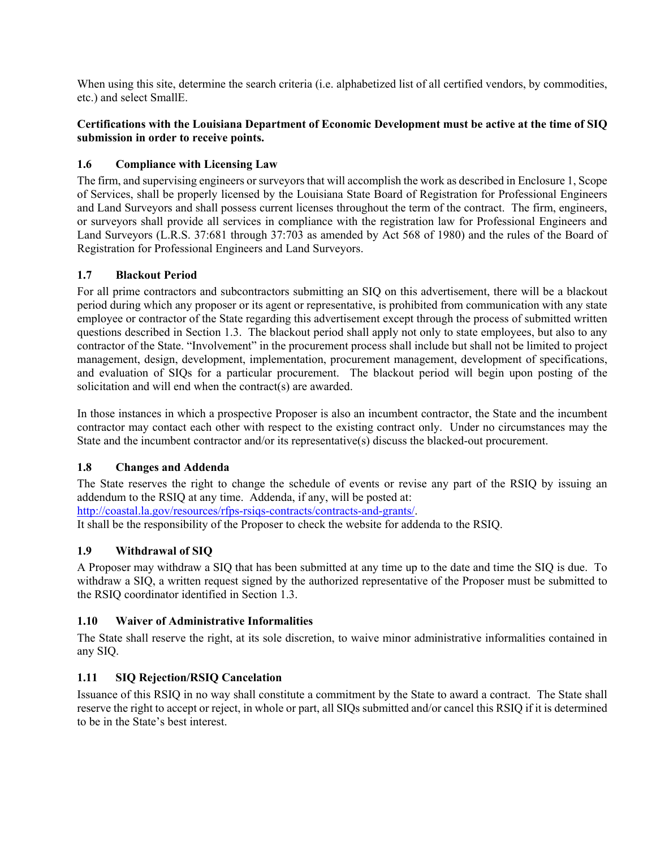When using this site, determine the search criteria (*i.e. alphabetized list of all certified vendors*, by commodities, etc.) and select SmallE.

# **Certifications with the Louisiana Department of Economic Development must be active at the time of SIQ submission in order to receive points.**

# **1.6 Compliance with Licensing Law**

The firm, and supervising engineers or surveyors that will accomplish the work as described in Enclosure 1, Scope of Services, shall be properly licensed by the Louisiana State Board of Registration for Professional Engineers and Land Surveyors and shall possess current licenses throughout the term of the contract. The firm, engineers, or surveyors shall provide all services in compliance with the registration law for Professional Engineers and Land Surveyors (L.R.S. 37:681 through 37:703 as amended by Act 568 of 1980) and the rules of the Board of Registration for Professional Engineers and Land Surveyors.

## **1.7 Blackout Period**

For all prime contractors and subcontractors submitting an SIQ on this advertisement, there will be a blackout period during which any proposer or its agent or representative, is prohibited from communication with any state employee or contractor of the State regarding this advertisement except through the process of submitted written questions described in Section 1.3. The blackout period shall apply not only to state employees, but also to any contractor of the State. "Involvement" in the procurement process shall include but shall not be limited to project management, design, development, implementation, procurement management, development of specifications, and evaluation of SIQs for a particular procurement. The blackout period will begin upon posting of the solicitation and will end when the contract(s) are awarded.

In those instances in which a prospective Proposer is also an incumbent contractor, the State and the incumbent contractor may contact each other with respect to the existing contract only. Under no circumstances may the State and the incumbent contractor and/or its representative(s) discuss the blacked-out procurement.

### **1.8 Changes and Addenda**

The State reserves the right to change the schedule of events or revise any part of the RSIQ by issuing an addendum to the RSIQ at any time. Addenda, if any, will be posted at: http://coastal.la.gov/resources/rfps-rsiqs-contracts/contracts-and-grants/.

It shall be the responsibility of the Proposer to check the website for addenda to the RSIQ.

# **1.9 Withdrawal of SIQ**

A Proposer may withdraw a SIQ that has been submitted at any time up to the date and time the SIQ is due. To withdraw a SIQ, a written request signed by the authorized representative of the Proposer must be submitted to the RSIQ coordinator identified in Section 1.3.

### **1.10 Waiver of Administrative Informalities**

The State shall reserve the right, at its sole discretion, to waive minor administrative informalities contained in any SIQ.

### **1.11 SIQ Rejection/RSIQ Cancelation**

Issuance of this RSIQ in no way shall constitute a commitment by the State to award a contract. The State shall reserve the right to accept or reject, in whole or part, all SIQs submitted and/or cancel this RSIQ if it is determined to be in the State's best interest.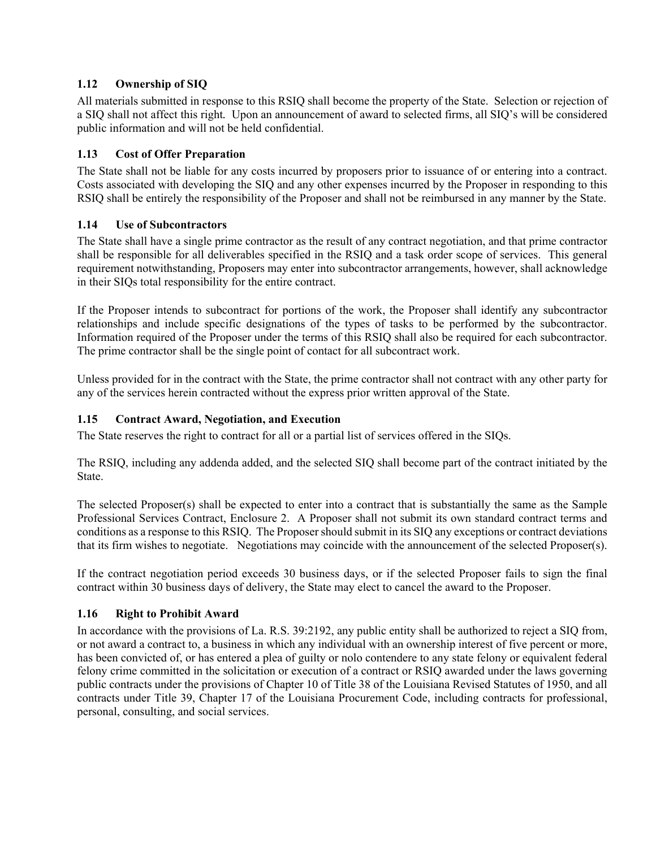# **1.12 Ownership of SIQ**

All materials submitted in response to this RSIQ shall become the property of the State. Selection or rejection of a SIQ shall not affect this right*.* Upon an announcement of award to selected firms, all SIQ's will be considered public information and will not be held confidential.

# **1.13 Cost of Offer Preparation**

The State shall not be liable for any costs incurred by proposers prior to issuance of or entering into a contract. Costs associated with developing the SIQ and any other expenses incurred by the Proposer in responding to this RSIQ shall be entirely the responsibility of the Proposer and shall not be reimbursed in any manner by the State.

## **1.14 Use of Subcontractors**

The State shall have a single prime contractor as the result of any contract negotiation, and that prime contractor shall be responsible for all deliverables specified in the RSIQ and a task order scope of services. This general requirement notwithstanding, Proposers may enter into subcontractor arrangements, however, shall acknowledge in their SIQs total responsibility for the entire contract.

If the Proposer intends to subcontract for portions of the work, the Proposer shall identify any subcontractor relationships and include specific designations of the types of tasks to be performed by the subcontractor. Information required of the Proposer under the terms of this RSIQ shall also be required for each subcontractor. The prime contractor shall be the single point of contact for all subcontract work.

Unless provided for in the contract with the State, the prime contractor shall not contract with any other party for any of the services herein contracted without the express prior written approval of the State.

# **1.15 Contract Award, Negotiation, and Execution**

The State reserves the right to contract for all or a partial list of services offered in the SIQs.

The RSIQ, including any addenda added, and the selected SIQ shall become part of the contract initiated by the State.

The selected Proposer(s) shall be expected to enter into a contract that is substantially the same as the Sample Professional Services Contract, Enclosure 2. A Proposer shall not submit its own standard contract terms and conditions as a response to this RSIQ. The Proposer should submit in its SIQ any exceptions or contract deviations that its firm wishes to negotiate. Negotiations may coincide with the announcement of the selected Proposer(s).

If the contract negotiation period exceeds 30 business days, or if the selected Proposer fails to sign the final contract within 30 business days of delivery, the State may elect to cancel the award to the Proposer.

### **1.16 Right to Prohibit Award**

In accordance with the provisions of La. R.S. 39:2192, any public entity shall be authorized to reject a SIQ from, or not award a contract to, a business in which any individual with an ownership interest of five percent or more, has been convicted of, or has entered a plea of guilty or nolo contendere to any state felony or equivalent federal felony crime committed in the solicitation or execution of a contract or RSIQ awarded under the laws governing public contracts under the provisions of Chapter 10 of Title 38 of the Louisiana Revised Statutes of 1950, and all contracts under Title 39, Chapter 17 of the Louisiana Procurement Code, including contracts for professional, personal, consulting, and social services.